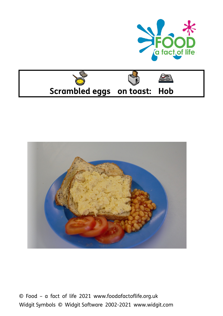





© Food – a fact of life 2021 www.foodafactoflife.org.uk Widgit Symbols © Widgit Software 2002-2021 www.widgit.com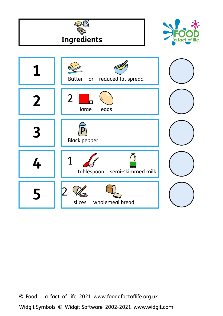

Widgit Symbols © Widgit Software 2002-2021 www.widgit.com © Food – a fact of life 2021 www.foodafactoflife.org.uk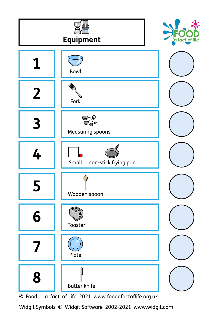

© Food – a fact of life 2021 www.foodafactoflife.org.uk

Widgit Symbols © Widgit Software 2002-2021 www.widgit.com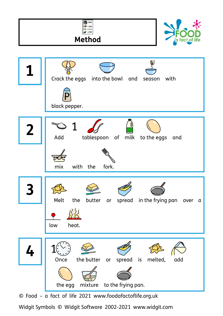

Widgit Symbols © Widgit Software 2002-2021 www.widgit.com